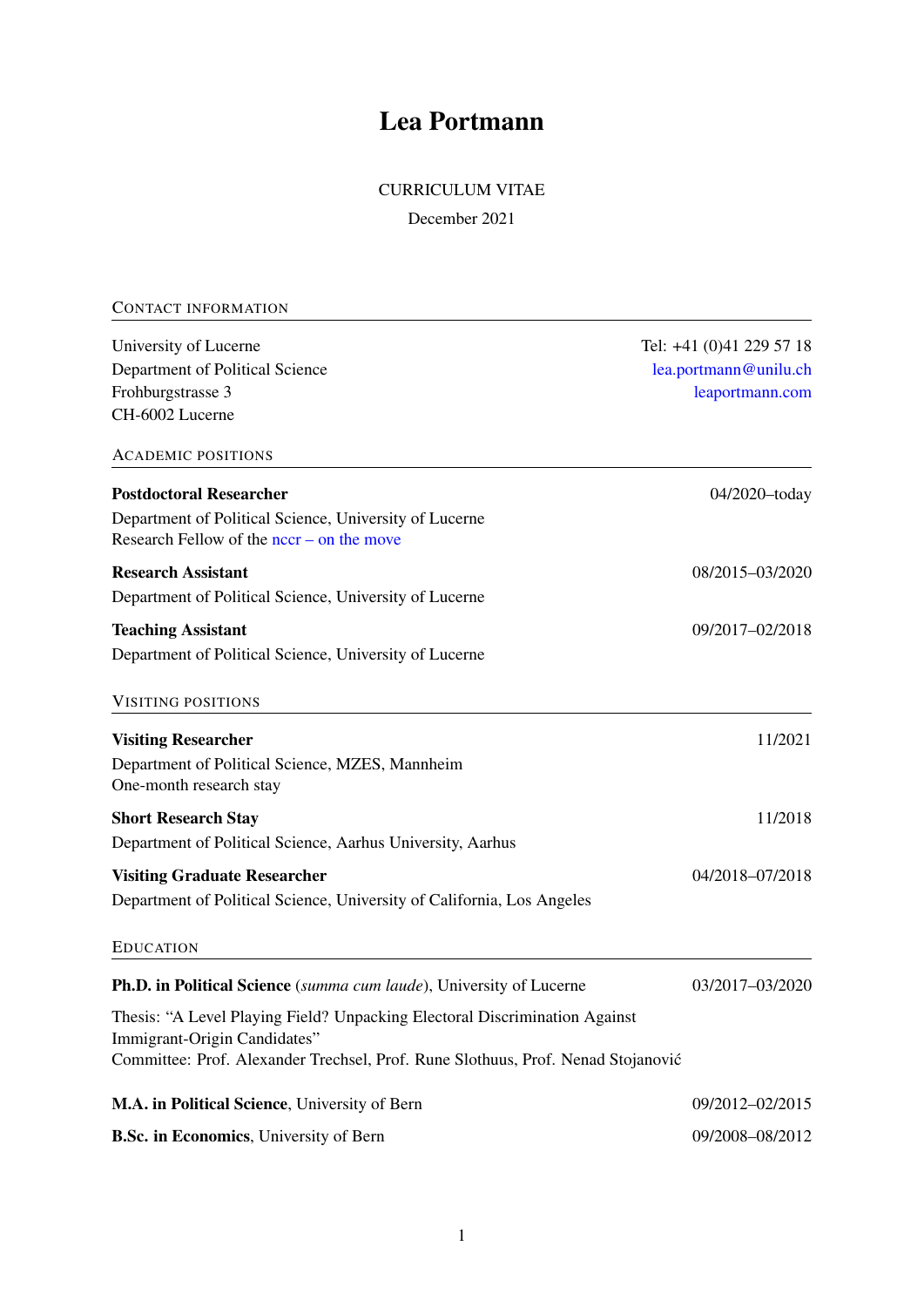# Lea Portmann

# CURRICULUM VITAE

December 2021

| <b>CONTACT INFORMATION</b>                                                                                 |                          |
|------------------------------------------------------------------------------------------------------------|--------------------------|
| University of Lucerne                                                                                      | Tel: +41 (0)41 229 57 18 |
| Department of Political Science                                                                            | lea.portmann@unilu.ch    |
| Frohburgstrasse 3                                                                                          | leaportmann.com          |
| CH-6002 Lucerne                                                                                            |                          |
| <b>ACADEMIC POSITIONS</b>                                                                                  |                          |
| <b>Postdoctoral Researcher</b>                                                                             | 04/2020-today            |
| Department of Political Science, University of Lucerne<br>Research Fellow of the $nccr$ – on the move      |                          |
| <b>Research Assistant</b>                                                                                  | 08/2015-03/2020          |
| Department of Political Science, University of Lucerne                                                     |                          |
| <b>Teaching Assistant</b>                                                                                  | 09/2017-02/2018          |
| Department of Political Science, University of Lucerne                                                     |                          |
| <b>VISITING POSITIONS</b>                                                                                  |                          |
| <b>Visiting Researcher</b>                                                                                 | 11/2021                  |
| Department of Political Science, MZES, Mannheim<br>One-month research stay                                 |                          |
| <b>Short Research Stay</b>                                                                                 | 11/2018                  |
| Department of Political Science, Aarhus University, Aarhus                                                 |                          |
| <b>Visiting Graduate Researcher</b>                                                                        | 04/2018-07/2018          |
| Department of Political Science, University of California, Los Angeles                                     |                          |
| <b>EDUCATION</b>                                                                                           |                          |
| <b>Ph.D. in Political Science</b> (summa cum laude), University of Lucerne                                 | 03/2017-03/2020          |
| Thesis: "A Level Playing Field? Unpacking Electoral Discrimination Against<br>Immigrant-Origin Candidates" |                          |
| Committee: Prof. Alexander Trechsel, Prof. Rune Slothuus, Prof. Nenad Stojanović                           |                          |
| M.A. in Political Science, University of Bern                                                              | 09/2012-02/2015          |
| B.Sc. in Economics, University of Bern                                                                     | 09/2008-08/2012          |
|                                                                                                            |                          |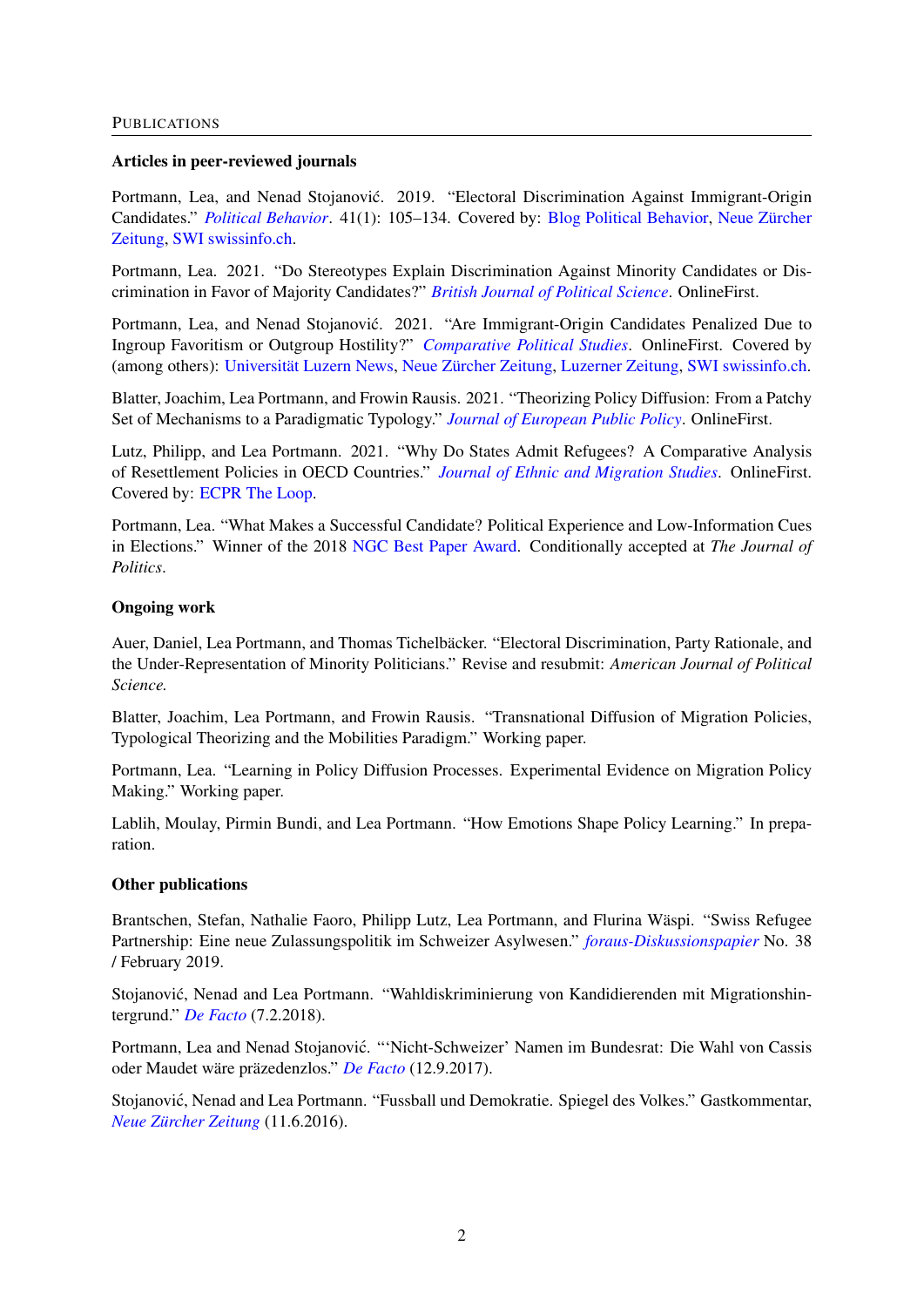#### Articles in peer-reviewed journals

Portmann, Lea, and Nenad Stojanović. 2019. "Electoral Discrimination Against Immigrant-Origin Candidates." *[Political Behavior](https://www.springerprofessional.de/electoral-discrimination-against-immigrant-origin-candidates/15352166)*. 41(1): 105–134. Covered by: [Blog Political Behavior,](https://politicalbehavior.wordpress.com/2018/01/22/electoral-discrimination-of-immigrant-origin-candidates/) [Neue Zürcher](https://www.nzz.ch/zuerich/wenn-das-ic-im-namen-den-wahlerfolg-verhindert-ld.1347526) [Zeitung,](https://www.nzz.ch/zuerich/wenn-das-ic-im-namen-den-wahlerfolg-verhindert-ld.1347526) [SWI swissinfo.ch.](https://www.swissinfo.ch/ger/politik/streichkonzert-der-kandidaten_wenn-das-wahlsystem-zu-diskriminierung-fuehrt/43941670)

Portmann, Lea. 2021. "Do Stereotypes Explain Discrimination Against Minority Candidates or Discrimination in Favor of Majority Candidates?" *[British Journal of Political Science](https://doi.org/10.1017/S0007123420000800)*. OnlineFirst.

Portmann, Lea, and Nenad Stojanović. 2021. "Are Immigrant-Origin Candidates Penalized Due to Ingroup Favoritism or Outgroup Hostility?" *[Comparative Political Studies](https://doi.org/10.1177/00104140211024293)*. OnlineFirst. Covered by (among others): [Universität Luzern News,](https://www.unilu.ch/news/studie-zur-diskriminierung-bei-schweizer-wahlen-6035/) [Neue Zürcher Zeitung,](https://www.nzz.ch/schweiz/wahlen-ein-auslaendischer-name-mindert-tendenziell-die-chancen-ld.1637904?mktcid=smsh&mktcval=Twitter) [Luzerner Zeitung,](https://www.luzernerzeitung.ch/news-service/inland-schweiz/politologie-luzerner-studie-waehler-diskriminieren-kandidaten-mit-migrationshintergrund-ld.2167835) [SWI swissinfo.ch.](https://www.swissinfo.ch/ger/auslaendische-namen-sind-bei-wahlen-ein-doppeltes-handicap/46823692)

Blatter, Joachim, Lea Portmann, and Frowin Rausis. 2021. "Theorizing Policy Diffusion: From a Patchy Set of Mechanisms to a Paradigmatic Typology." *[Journal of European Public Policy](https://doi.org/10.1080/13501763.2021.1892801)*. OnlineFirst.

Lutz, Philipp, and Lea Portmann. 2021. "Why Do States Admit Refugees? A Comparative Analysis of Resettlement Policies in OECD Countries." *[Journal of Ethnic and Migration Studies](https://www.tandfonline.com/doi/abs/10.1080/1369183X.2021.1999222)*. OnlineFirst. Covered by: [ECPR The Loop.](https://theloop.ecpr.eu/western-countries-use-resettlement-policies-strategically/)

Portmann, Lea. "What Makes a Successful Candidate? Political Experience and Low-Information Cues in Elections." Winner of the 2018 [NGC Best Paper Award.](https://www.unilu.ch/news/alle-news/auszeichnung-fuer-doktorandin-der-politikwissenschaft-3895/) Conditionally accepted at *The Journal of Politics*.

# Ongoing work

Auer, Daniel, Lea Portmann, and Thomas Tichelbäcker. "Electoral Discrimination, Party Rationale, and the Under-Representation of Minority Politicians." Revise and resubmit: *American Journal of Political Science.*

Blatter, Joachim, Lea Portmann, and Frowin Rausis. "Transnational Diffusion of Migration Policies, Typological Theorizing and the Mobilities Paradigm." Working paper.

Portmann, Lea. "Learning in Policy Diffusion Processes. Experimental Evidence on Migration Policy Making." Working paper.

Lablih, Moulay, Pirmin Bundi, and Lea Portmann. "How Emotions Shape Policy Learning." In preparation.

#### Other publications

Brantschen, Stefan, Nathalie Faoro, Philipp Lutz, Lea Portmann, and Flurina Wäspi. "Swiss Refugee Partnership: Eine neue Zulassungspolitik im Schweizer Asylwesen." *[foraus-Diskussionspapier](https://www.foraus.ch/wp-content/uploads/2019/02/foraus_Swiss-Refugee-Partnership.pdf)* No. 38 / February 2019.

Stojanović, Nenad and Lea Portmann. "Wahldiskriminierung von Kandidierenden mit Migrationshintergrund." *[De Facto](http://www.defacto.expert/2018/02/07/wahldiskriminierung-von-kandidierenden-mit-migrationshintergrund/)* (7.2.2018).

Portmann, Lea and Nenad Stojanovic. "'Nicht-Schweizer' Namen im Bundesrat: Die Wahl von Cassis ´ oder Maudet wäre präzedenzlos." *[De Facto](http://www.defacto.expert/2017/09/12/nicht-schweizer-namen-im-bundesrat-die-wahl-von-cassis-oder-maudet-waere-praezedenzlos/)* (12.9.2017).

Stojanović, Nenad and Lea Portmann. "Fussball und Demokratie. Spiegel des Volkes." Gastkommentar, *[Neue Zürcher Zeitung](https://www.nzz.ch/meinung/kommentare/fussball-und-demokratie-spiegel-des-volkes-ld.88193)* (11.6.2016).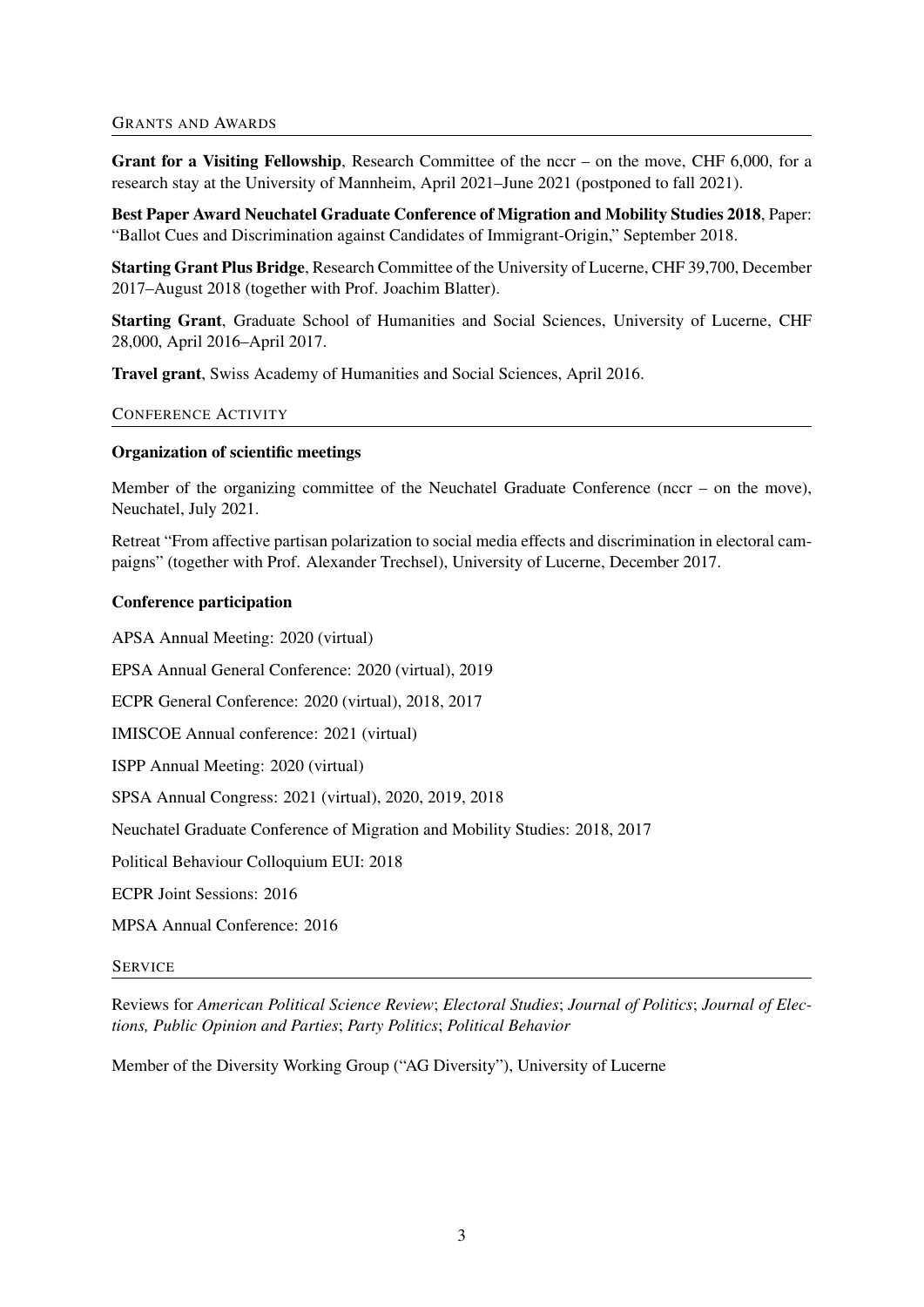# GRANTS AND AWARDS

Grant for a Visiting Fellowship, Research Committee of the nccr – on the move, CHF 6,000, for a research stay at the University of Mannheim, April 2021–June 2021 (postponed to fall 2021).

Best Paper Award Neuchatel Graduate Conference of Migration and Mobility Studies 2018, Paper: "Ballot Cues and Discrimination against Candidates of Immigrant-Origin," September 2018.

Starting Grant Plus Bridge, Research Committee of the University of Lucerne, CHF 39,700, December 2017–August 2018 (together with Prof. Joachim Blatter).

Starting Grant, Graduate School of Humanities and Social Sciences, University of Lucerne, CHF 28,000, April 2016–April 2017.

Travel grant, Swiss Academy of Humanities and Social Sciences, April 2016.

# CONFERENCE ACTIVITY

# Organization of scientific meetings

Member of the organizing committee of the Neuchatel Graduate Conference (nccr – on the move), Neuchatel, July 2021.

Retreat "From affective partisan polarization to social media effects and discrimination in electoral campaigns" (together with Prof. Alexander Trechsel), University of Lucerne, December 2017.

# Conference participation

APSA Annual Meeting: 2020 (virtual)

EPSA Annual General Conference: 2020 (virtual), 2019

ECPR General Conference: 2020 (virtual), 2018, 2017

IMISCOE Annual conference: 2021 (virtual)

ISPP Annual Meeting: 2020 (virtual)

SPSA Annual Congress: 2021 (virtual), 2020, 2019, 2018

Neuchatel Graduate Conference of Migration and Mobility Studies: 2018, 2017

Political Behaviour Colloquium EUI: 2018

ECPR Joint Sessions: 2016

MPSA Annual Conference: 2016

#### **SERVICE**

Reviews for *American Political Science Review*; *Electoral Studies*; *Journal of Politics*; *Journal of Elections, Public Opinion and Parties*; *Party Politics*; *Political Behavior*

Member of the Diversity Working Group ("AG Diversity"), University of Lucerne